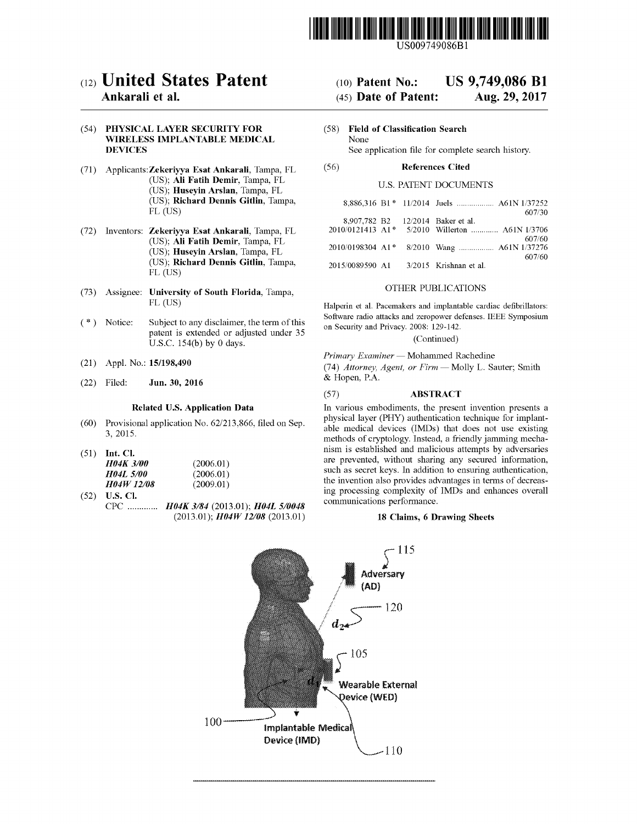

US009749086Bl

# (12) **United States Patent**

## Ankarali et al.

#### (54) PHYSICAL LAYER SECURITY FOR WIRELESS IMPLANTABLE MEDICAL DEVICES

- (71) Applicants:Zekeriyya Esat Ankarali, Tampa, FL (US); Ali Fatih Demir, Tampa, FL (US); Huseyin Arslan, Tampa, FL (US); Richard Dennis Gitlin, Tampa, FL (US)
- (72) Inventors: Zekeriyya Esat Ankarali, Tampa, FL (US); Ali Fatih Demir, Tampa, FL (US); Huseyin Arslan, Tampa, FL (US); Richard Dennis Gitlin, Tampa, FL (US)
- (73) Assignee: University of South Florida, Tampa, FL (US)
- (\*) Notice: Subject to any disclaimer, the term of this patent is extended or adjusted under 35 U.S.c. 154(b) by 0 days.
- (21) Appl. No.: 15/198,490
- Jun. 30, 2016 (22) Filed:

#### Related U.S. Application Data

- Provisional application No. 62/213,866, filed on Sep. (60) 3,2015.
- (51) Int. Cl.

| <i><b>H04K 3/00</b></i>  | (2006.01) |
|--------------------------|-----------|
| <b>H04L 5/00</b>         | (2006.01) |
| <i><b>HO4W 12/08</b></i> | (2009.01) |

(52) U.S. Cl. CPC . *H04K* 3/84 (2013.01); *H04L 5/0048* (2013.01); *H04W 12/08* (2013.01)

#### (10) Patent No.: US 9,749,086 **Bl**

#### (45) Date of Patent: Aug. 29, 2017

(58) Field of Classification Search None See application file for complete search history.

#### (56) References Cited

#### U.S. PATENT DOCUMENTS

|                                        |  | 8,886,316 B1 * 11/2014 Juels  A61N 1/37252<br>607/30 |
|----------------------------------------|--|------------------------------------------------------|
| 8,907,782 B2 12/2014 Baker et al.      |  | 2010/0121413 A1* 5/2010 Willerton  A61N 1/3706       |
|                                        |  | 607/60<br>2010/0198304 A1* 8/2010 Wang  A61N 1/37276 |
| 2015/0089590 A1 3/2015 Krishnan et al. |  | 607/60                                               |

#### OTHER PUBLICATIONS

Halperin et al. Pacemakers and implantable cardiac defibrillators: Software radio attacks and zeropower defenses. IEEE Symposium on Security and Privacy. 2008: 129-142.

## (Continued)

*Primary Examiner* - Mohammed Rachedine *(74) Attorney, Agent, or Firm* - Molly L. Sauter; Smith

#### (57) ABSTRACT

In various embodiments, the present invention presents a physical layer (PHY) authentication technique for implantable medical devices (IMDs) that does not use existing methods of cryptology. Instead, a friendly jamming mechanism is established and malicious attempts by adversaries are prevented, without sharing any secured information, such as secret keys. In addition to ensuring authentication, the invention also provides advantages in terms of decreasing processing complexity of IMDs and enhances overall communications performance.

#### 18 Claims, 6 Drawing Sheets

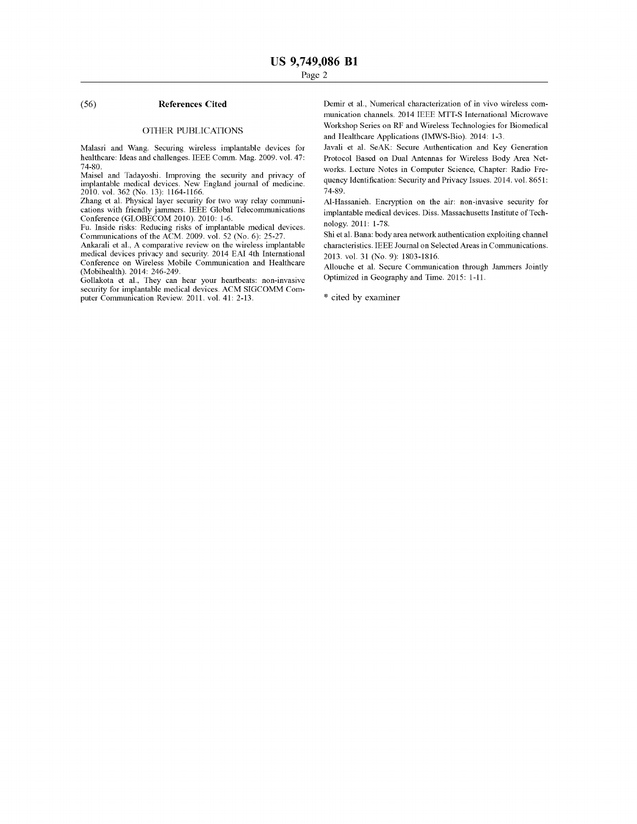#### (56) **References Cited**

#### OTHER PUBLICATIONS

Malasri and Wang. Securing wireless implantable devices for healthcare: Ideas and challenges. IEEE Comm. Mag. 2009. vol. 47: 74-80.

Maisel and Tadayoshi. Improving the security and privacy of implantable medical devices. New England journal of medicine. 2010. vol. 362 (No. 13): 1164-1166.

Zhang et al. Physical layer security for two way relay communications with friendly jammers. IEEE Global Telecommunications Conference (GLOBECOM 2010). 2010: 1-6.

Fu. Inside risks: Reducing risks of implantable medical devices. Communications of the ACM. 2009. vol. 52 (No.6): 25-27.

Ankarali et aI., A comparative review on the wireless implantable medical devices privacy and security. 2014 EAI 4th International Conference on Wireless Mobile Communication and Healthcare (Mobihealth). 2014: 246-249.

Gollakota et aI., They can hear your heartbeats: non-invasive security for implantable medical devices. ACM SIGCOMM Computer Communication Review. 2011. vol. 41: 2-13.

Demir et aI., Numerical characterization of in vivo wireless communication channels. 2014 IEEE MTT-S International Microwave Workshop Series on RF and Wireless Technologies for Biomedical and Healthcare Applications (IMWS-Bio). 2014: 1-3.

Javali et al. SeAK: Secure Authentication and Key Generation Protocol Based on Dual Antennas for Wireless Body Area Networks. Lecture Notes in Computer Science, Chapter: Radio Frequency Identification: Security and Privacy Issues. 2014. vol. 8651: 74-89.

Al-Hassanieh. Encryption on the air: non-invasive security for implantable medical devices. Diss. Massachusetts Institute of Technology. 2011: 1-78.

Shi et al. Bana: body area network authentication exploiting channel characteristics. IEEE Journal on Selected Areas in Communications. 2013. vol. 31 (No.9): 1803-1816.

Allouche et al. Secure Communication through Jammers Jointly Optimized in Geography and Time. 2015: 1-11.

\* cited by examiner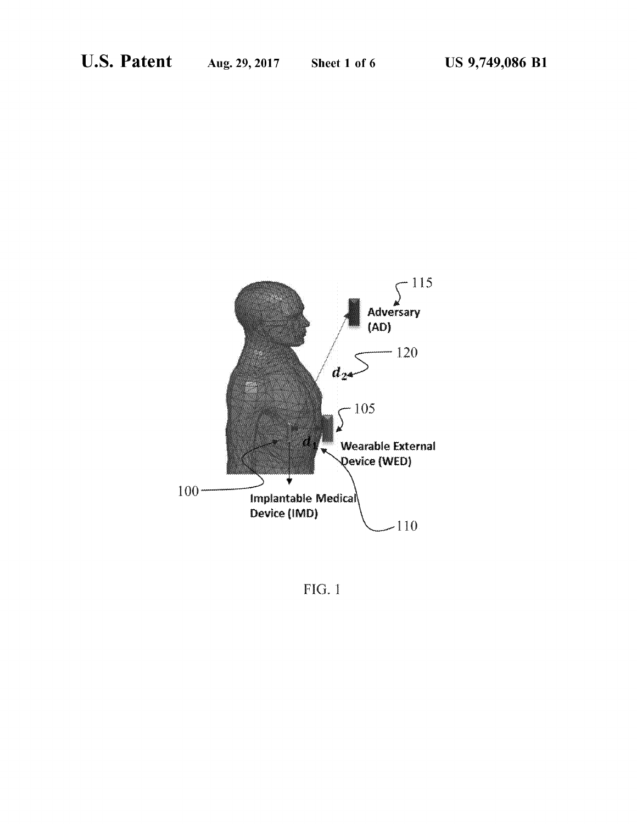

FIG. 1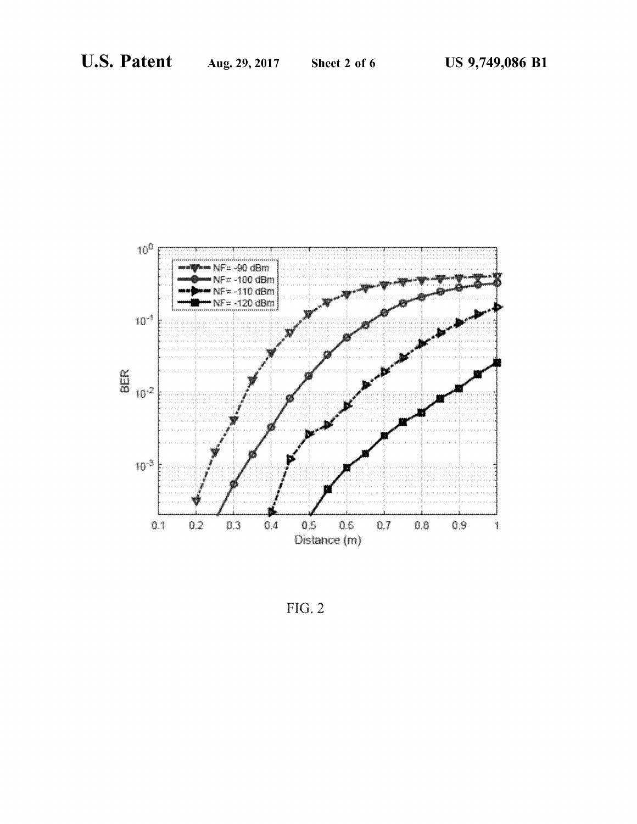

 $FIG. 2$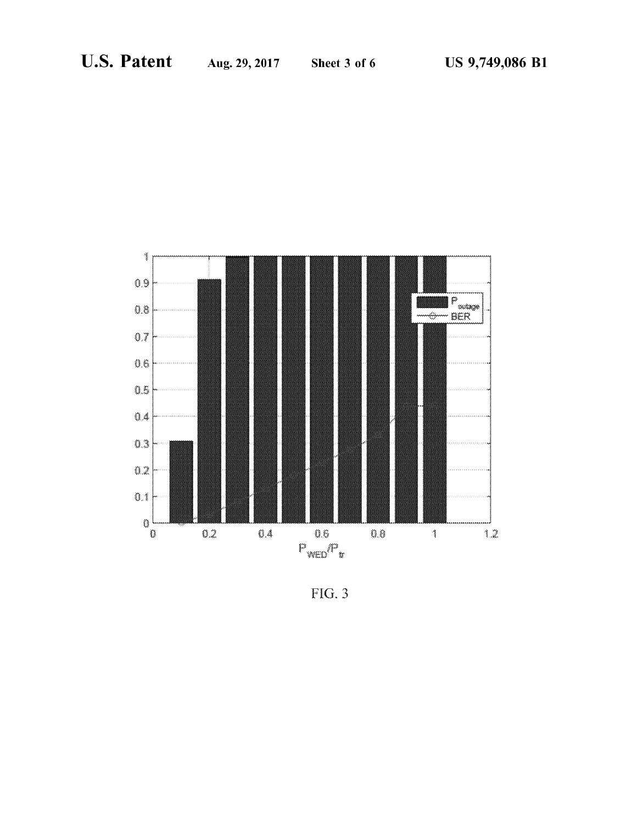

FIG. 3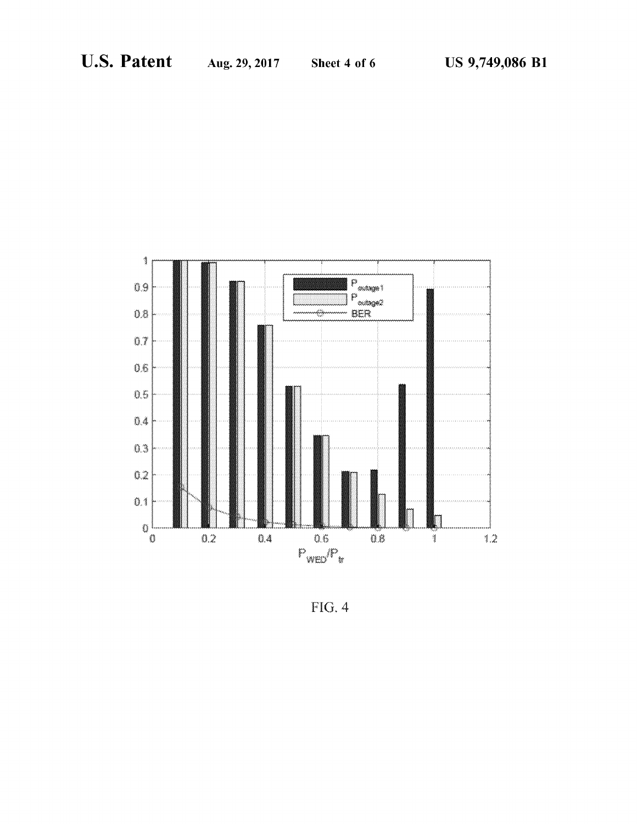

 $FIG. 4$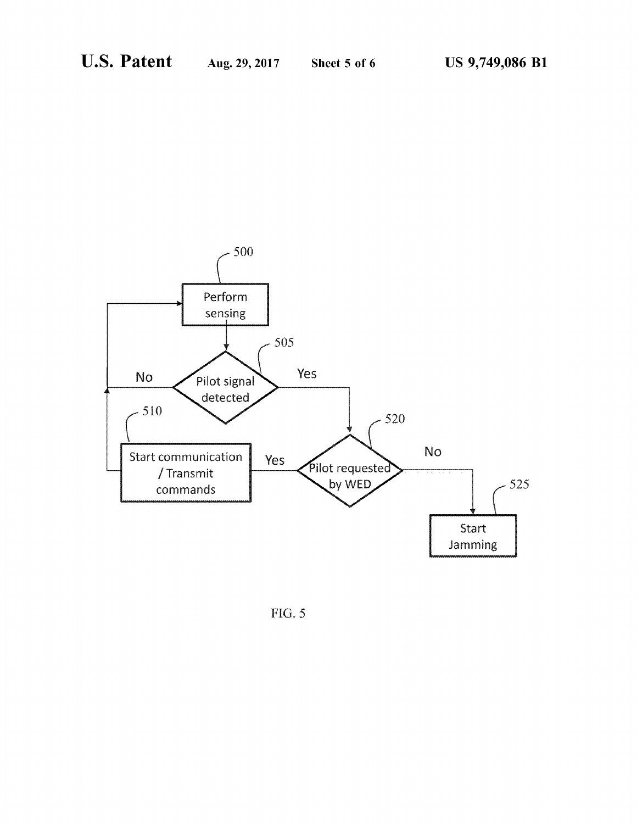

FIG. 5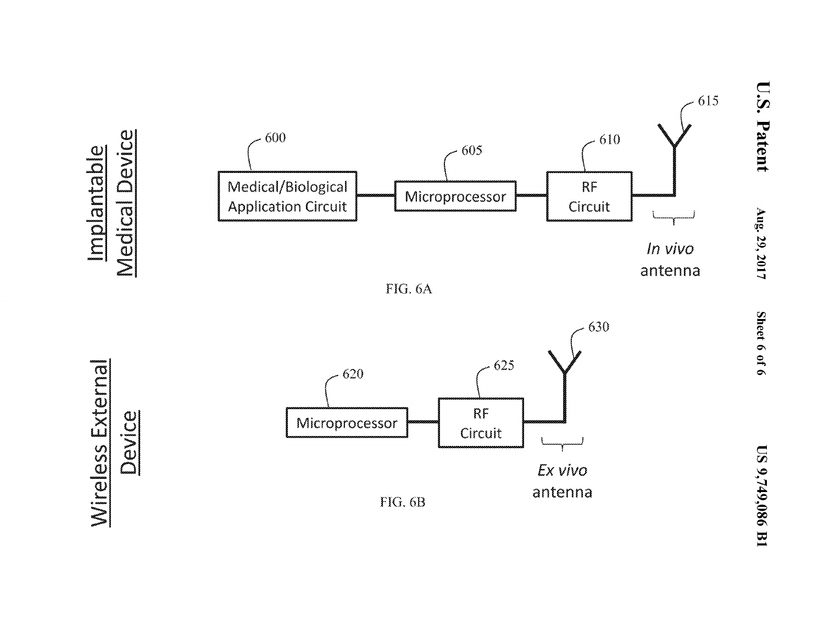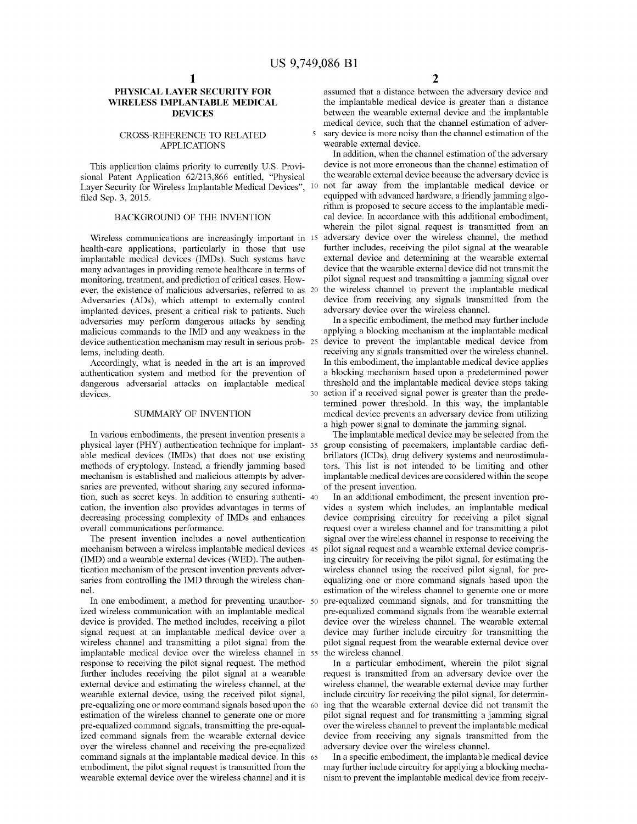$\overline{\phantom{a}}$ 

#### **PHYSICAL LAYER SECURITY FOR WIRELESS IMPLANTABLE MEDICAL DEVICES**

#### CROSS-REFERENCE TO RELATED APPLICATIONS

This application claims priority to currently U.S. Provisional Patent Application 62/213,866 entitled, "Physical Layer Security for Wireless Implantable Medical Devices", 10 filed Sep. 3, 2015.

#### BACKGROUND OF THE INVENTION

Wireless communications are increasingly important in 15 health-care applications, particularly in those that use implantable medical devices (IMDs). Such systems have many advantages in providing remote healthcare in terms of monitoring, treatment, and prediction of critical cases. However, the existence of malicious adversaries, referred to as 20 Adversaries (ADs), which attempt to externally control implanted devices, present a critical risk to patients. Such adversaries may perform dangerous attacks by sending malicious commands to the IMD and any weakness in the device authentication mechanism may result in serious problems, including death.

Accordingly, what is needed in the art is an improved authentication system and method for the prevention of dangerous adversarial attacks on implantable medical devices.

## SUMMARY OF INVENTION

In various embodiments, the present invention presents a physical layer (PHY) authentication technique for implantable medical devices (IMDs) that does not use existing methods of cryptology. Instead, a friendly jamming based mechanism is established and malicious attempts by adversaries are prevented, without sharing any secured information, such as secret keys. In addition to ensuring authenti- 40 cation, the invention also provides advantages in terms of decreasing processing complexity of IMDs and enhances overall communications performance.

The present invention includes a novel authentication mechanism between a wireless implantable medical devices (IMD) and a wearable external devices (WED). The authentication mechanism of the present invention prevents adversaries from controlling the IMD through the wireless channel.

In one embodiment, a method for preventing unauthor- 50 ized wireless communication with an implantable medical device is provided. The method includes, receiving a pilot signal request at an implantable medical device over a wireless channel and transmitting a pilot signal from the implantable medical device over the wireless channel in response to receiving the pilot signal request. The method further includes receiving the pilot signal at a wearable external device and estimating the wireless channel, at the wearable external device, using the received pilot signal, pre-equalizing one or more command signals based upon the estimation of the wireless channel to generate one or more pre-equalized command signals, transmitting the pre-equalized command signals from the wearable external device over the wireless channel and receiving the pre-equalized command signals at the implantable medical device. In this 65 embodiment, the pilot signal request is transmitted from the wearable external device over the wireless channel and it is

assumed that a distance between the adversary device and the implantable medical device is greater than a distance between the wearable external device and the implantable medical device, such that the channel estimation of adversary device is more noisy than the channel estimation of the wearable external device.

In addition, when the channel estimation of the adversary device is not more erroneous than the channel estimation of the wearable external device because the adversary device is 10 not far away from the implantable medical device or equipped with advanced hardware, a friendly jamming algorithm is proposed to secure access to the implantable medical device. In accordance with this additional embodiment, wherein the pilot signal request is transmitted from an adversary device over the wireless channel, the method further includes, receiving the pilot signal at the wearable external device and determining at the wearable external device that the wearable external device did not transmit the pilot signal request and transmitting a jamming signal over the wireless channel to prevent the implantable medical device from receiving any signals transmitted from the adversary device over the wireless channel.

In a specific embodiment, the method may further include applying a blocking mechanism at the implantable medical device to prevent the implantable medical device from receiving any signals transmitted over the wireless channel. In this embodiment, the implantable medical device applies a blocking mechanism based upon a predetermined power threshold and the implantable medical device stops taking <sup>30</sup> action if a received signal power is greater than the predetermined power threshold. In this way, the implantable medical device prevents an adversary device from utilizing a high power signal to dominate the jamming signal.

The implantable medical device may be selected from the group consisting of pacemakers, implantable cardiac defibrillators (ICDs), drug delivery systems and neurostimulators. This list is not intended to be limiting and other implantable medical devices are considered within the scope of the present invention.

In an additional embodiment, the present invention provides a system which includes, an implantable medical device comprising circuitry for receiving a pilot signal request over a wireless channel and for transmitting a pilot signal over the wireless channel in response to receiving the pilot signal request and a wearable external device comprising circuitry for receiving the pilot signal, for estimating the wireless channel using the received pilot signal, for preequalizing one or more command signals based upon the estimation of the wireless channel to generate one or more pre-equalized command signals, and for transmitting the pre-equalized command signals from the wearable external device over the wireless channel. The wearable external device may further include circuitry for transmitting the pilot signal request from the wearable external device over the wireless channel.

In a particular embodiment, wherein the pilot signal request is transmitted from an adversary device over the wireless channel, the wearable external device may further include circuitry for receiving the pilot signal, for determining that the wearable external device did not transmit the pilot signal request and for transmitting a jamming signal over the wireless channel to prevent the implantable medical device from receiving any signals transmitted from the adversary device over the wireless channel.

In a specific embodiment, the implantable medical device may further include circuitry for applying a blocking mechanism to prevent the implantable medical device from receiv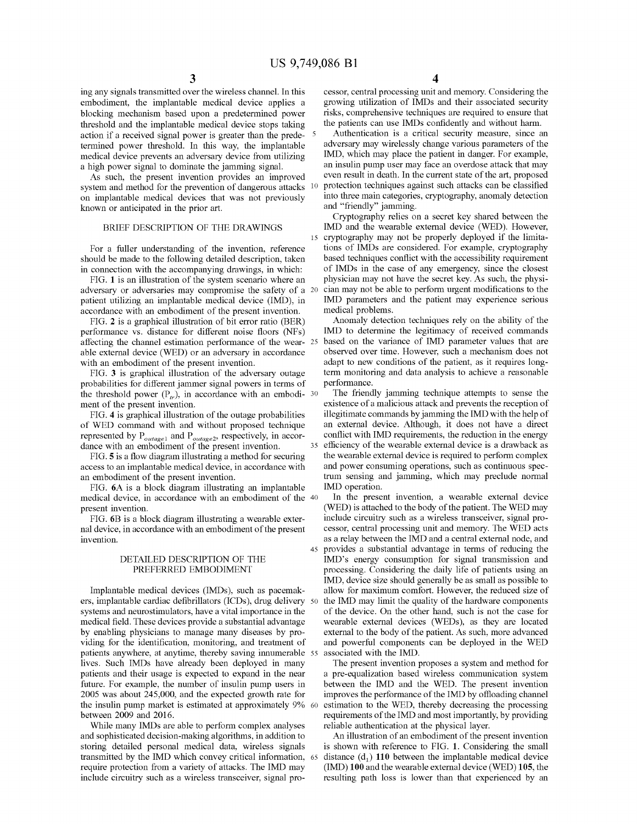ing any signals transmitted over the wireless channel. In this embodiment, the implantable medical device applies a blocking mechanism based upon a predetermined power threshold and the implantable medical device stops taking action if a received signal power is greater than the predetermined power threshold. In this way, the implantable medical device prevents an adversary device from utilizing a high power signal to dominate the jamming signal.

As such, the present invention provides an improved system and method for the prevention of dangerous attacks on implantable medical devices that was not previously known or anticipated in the prior art.

#### BRIEF DESCRIPTION OF THE DRAWINGS

For a fuller understanding of the invention, reference should be made to the following detailed description, taken in connection with the accompanying drawings, in which:

FIG. 1 is an illustration of the system scenario where an adversary or adversaries may compromise the safety of a patient utilizing an implantable medical device (IMD), in accordance with an embodiment of the present invention.

FIG. 2 is a graphical illustration of bit error ratio (BER) performance vs. distance for different noise floors (NFs) affecting the channel estimation performance of the wear- 25 able external device (WED) or an adversary in accordance with an embodiment of the present invention.

FIG. 3 is graphical illustration of the adversary outage probabilities for different jammer signal powers in terms of the threshold power  $(P<sub>tr</sub>)$ , in accordance with an embodi- 30 ment of the present invention.

FIG. 4 is graphical illustration of the outage probabilities of WED command with and without proposed technique represented by P*outage!* and P*outage2'* respectively, in accordance with an embodiment of the present invention.

FIG. 5 is a flow diagram illustrating a method for securing access to an implantable medical device, in accordance with an embodiment of the present invention.

FIG. 6A is a block diagram illustrating an implantable medical device, in accordance with an embodiment of the 40 present invention.

FIG. 6B is a block diagram illustrating a wearable external device, in accordance with an embodiment of the present invention.

#### DETAILED DESCRIPTION OF THE PREFERRED EMBODIMENT

Implantable medical devices (IMDs), such as pacemakers, implantable cardiac defibrillators (ICDs), drug delivery systems and neurostimulators, have a vital importance in the medical field. These devices provide a substantial advantage by enabling physicians to manage many diseases by providing for the identification, monitoring, and treatment of patients anywhere, at anytime, thereby saving innumerable 55 lives. Such IMDs have already been deployed in many patients and their usage is expected to expand in the near future. For example, the number of insulin pump users in 2005 was about 245,000, and the expected growth rate for the insulin pump market is estimated at approximately 9% 60 between 2009 and 2016.

While many IMDs are able to perform complex analyses and sophisticated decision-making algorithms, in addition to storing detailed personal medical data, wireless signals transmitted by the IMD which convey critical information, require protection from a variety of attacks. The IMD may include circuitry such as a wireless transceiver, signal pro-

cessor, central processing unit and memory. Considering the growing utilization of IMDs and their associated security risks, comprehensive techniques are required to ensure that the patients can use IMDs confidently and without harm.

Authentication is a critical security measure, since an adversary may wirelessly change various parameters of the IMD, which may place the patient in danger. For example, an insulin pump user may face an overdose attack that may even result in death. In the current state of the art, proposed 10 protection techniques against such attacks can be classified into three main categories, cryptography, anomaly detection and "friendly" jamming.

Cryptography relies on a secret key shared between the IMD and the wearable external device (WED). However, <sup>15</sup> cryptography may not be properly deployed if the limitations of IMDs are considered. For example, cryptography based techniques conflict with the accessibility requirement of IMDs in the case of any emergency, since the closest physician may not have the secret key. As such, the physi-20 cian may not be able to perform urgent modifications to the IMD parameters and the patient may experience serious medical problems.

Anomaly detection techniques rely on the ability of the IMD to determine the legitimacy of received commands based on the variance of IMD parameter values that are observed over time. However, such a mechanism does not adapt to new conditions of the patient, as it requires longterm monitoring and data analysis to achieve a reasonable performance.

The friendly jamming technique attempts to sense the existence of a malicious attack and prevents the reception of illegitimate commands by jamming the IMD with the help of an external device. Although, it does not have a direct conflict with IMD requirements, the reduction in the energy <sup>35</sup> efficiency of the wearable external device is a drawback as the wearable external device is required to perform complex and power consuming operations, such as continuous spectrum sensing and jamming, which may preclude normal IMD operation.

In the present invention, a wearable external device (WED) is attached to the body of the patient. The WED may include circuitry such as a wireless transceiver, signal processor, central processing unit and memory. The WED acts as a relay between the IMD and a central external node, and <sup>45</sup> provides a substantial advantage in terms of reducing the IMD's energy consumption for signal transmission and processing. Considering the daily life of patients using an IMD, device size should generally be as small as possible to allow for maximum comfort. However, the reduced size of the IMD may limit the quality of the hardware components of the device. On the other hand, such is not the case for wearable external devices (WEDs), as they are located external to the body of the patient. As such, more advanced and powerful components can be deployed in the WED associated with the IMD.

The present invention proposes a system and method for a pre-equalization based wireless communication system between the IMD and the WED. The present invention improves the performance of the IMD by offloading channel estimation to the WED, thereby decreasing the processing requirements of the IMD and most importantly, by providing reliable authentication at the physical layer.

An illustration of an embodiment of the present invention is shown with reference to FIG. 1. Considering the small distance  $(d_1)$  110 between the implantable medical device (IMD) **100** and the wearable external device (WED) **105,** the resulting path loss is lower than that experienced by an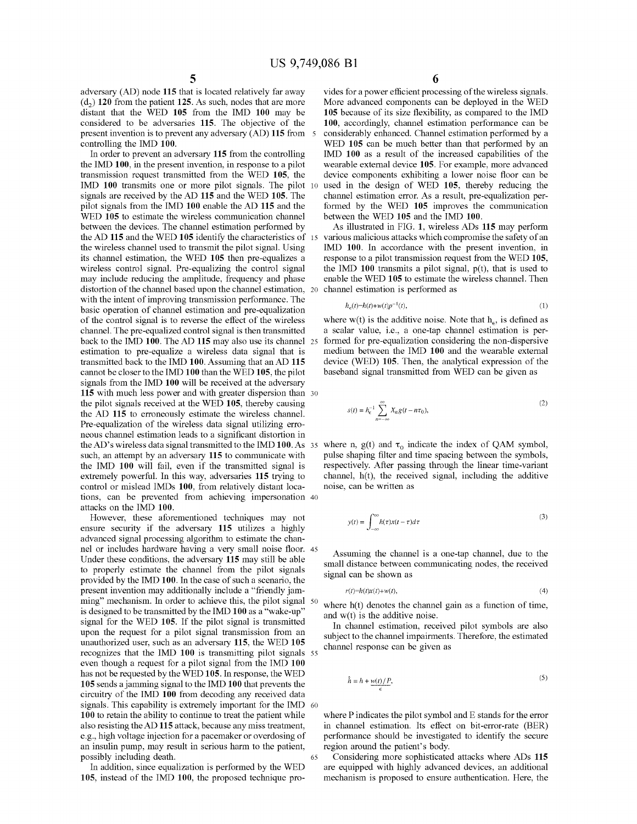adversary (AD) node **115** that is located relatively far away  $(d<sub>2</sub>)$  120 from the patient 125. As such, nodes that are more distant that the WED **105** from the IMD **100** may be considered to be adversaries 115. The objective of the present invention is to prevent any adversary (AD) **115** from 5 controlling the IMD 100.

In order to prevent an adversary **115** from the controlling the IMD 100, in the present invention, in response to a pilot transmission request transmitted from the WED 105, the IMD **100** transmits one or more pilot signals. The pilot 10 signals are received by the AD **115** and the WED 105. The pilot signals from the IMD **100** enable the AD **115** and the WED **105** to estimate the wireless communication channel between the devices. The channel estimation performed by the AD 115 and the WED 105 identify the characteristics of the wireless channel used to transmit the pilot signal. Using its channel estimation, the WED **105** then pre-equalizes a wireless control signal. Pre-equalizing the control signal may include reducing the amplitude, frequency and phase distortion of the channel based upon the channel estimation, 20 with the intent of improving transmission performance. The basic operation of charmel estimation and pre-equalization of the control signal is to reverse the effect of the wireless channel. The pre-equalized control signal is then transmitted back to the IMD 100. The AD **115** may also use its channel 25 estimation to pre-equalize a wireless data signal that is transmitted back to the IMD 100. Assuming that an AD **115** carmot be closer to the IMD **100** than the WED 105, the pilot signals from the IMD **100** will be received at the adversary **115** with much less power and with greater dispersion than 30 the pilot signals received at the WED 105, thereby causing the AD 115 to erroneously estimate the wireless channel. Pre-equalization of the wireless data signal utilizing erroneous charmel estimation leads to a significant distortion in the AD's wireless data signal transmitted to the IMD 100. As such, an attempt by an adversary **115** to communicate with the IMD **100** will fail, even if the transmitted signal is extremely powerful. In this way, adversaries **115** trying to control or mislead IMDs 100, from relatively distant locations, can be prevented from achieving impersonation 40 attacks on the IMD 100.

However, these aforementioned techniques may not ensure security if the adversary **115** utilizes a highly advanced signal processing algorithm to estimate the channel or includes hardware having a very small noise floor. 45 Under these conditions, the adversary **115** may still be able to properly estimate the channel from the pilot signals provided by the IMD 100. In the case of such a scenario, the present invention may additionally include a "friendly jamming" mechanism. In order to achieve this, the pilot signal 50 is designed to be transmitted by the IMD **100** as a "wake-up" signal for the WED 105. If the pilot signal is transmitted upon the request for a pilot signal transmission from an unauthorized user, such as an adversary 115, the WED **105** recognizes that the IMD **100** is transmitting pilot signals 55 even though a request for a pilot signal from the IMD **100** has not be requested by the WED **105.** In response, the WED **105** sends a jamming signal to the IMD **100** that prevents the circuitry of the IMD **100** from decoding any received data signals. This capability is extremely important for the IMD 60 **100** to retain the ability to continue to treat the patient while also resisting the AD **115** attack, because any miss treatment, e.g., high voltage injection for a pacemaker or overdosing of an insulin pump, may result in serious harm to the patient, possibly including death. 65

In addition, since equalization is performed by the WED 105, instead of the IMD 100, the proposed technique pro6

vides for a power efficient processing of the wireless signals. More advanced components can be deployed in the WED **105** because of its size flexibility, as compared to the IMD 100, accordingly, channel estimation performance can be considerably enhanced. Channel estimation performed by a WED **105** can be much better than that performed by an IMD **100** as a result of the increased capabilities of the wearable external device 105. For example, more advanced device components exhibiting a lower noise floor can be used in the design of WED 105, thereby reducing the channel estimation error. As a result, pre-equalization performed by the WED **105** improves the communication between the WED **105** and the IMD 100.

As illustrated in FIG. 1, wireless ADs **115** may perform various malicious attacks which compromise the safety of an IMD 100. In accordance with the present invention, in response to a pilot transmission request from the WED 105, the IMD  $100$  transmits a pilot signal,  $p(t)$ , that is used to enable the WED **105** to estimate the wireless channel. Then channel estimation is performed as

$$
h_{\epsilon}(t)=h(t)+w(t)p^{-1}(t),\tag{1}
$$

where w(t) is the additive noise. Note that  $h_{\epsilon}$ , is defined as a scalar value, i.e., a one-tap channel estimation is performed for pre-equalization considering the non-dispersive medium between the IMD **100** and the wearable external device (WED) 105. Then, the analytical expression of the baseband signal transmitted from WED can be given as

$$
s(t) = h_e^{-1} \sum_{n = -\infty}^{\infty} X_n g(t - n\tau_0),
$$
 (2)

35 where n,  $g(t)$  and  $\tau_0$  indicate the index of QAM symbol, pulse shaping filter and time spacing between the symbols, respectively. After passing through the linear time-variant channel, h(t), the received signal, including the additive noise, can be written as

$$
y(t) = \int_{-\infty}^{\infty} h(\tau)x(t-\tau)d\tau
$$
 (3)

Assuming the channel is a one-tap charmel, due to the small distance between communicating nodes, the received signal can be shown as

$$
r(t)=h(t)x(t)+w(t),
$$
\n<sup>(4)</sup>

where  $h(t)$  denotes the channel gain as a function of time, and  $w(t)$  is the additive noise.

In channel estimation, received pilot symbols are also subject to the charmel impairments. Therefore, the estimated channel response can be given as

$$
\hat{h} = h + \underbrace{w(t)/P}_{\epsilon},\tag{5}
$$

where P indicates the pilot symbol and E stands for the error in channel estimation. Its effect on bit-error-rate (BER) performance should be investigated to identify the secure region around the patient's body.

Considering more sophisticated attacks where ADs **115** are equipped with highly advanced devices, an additional mechanism is proposed to ensure authentication. Here, the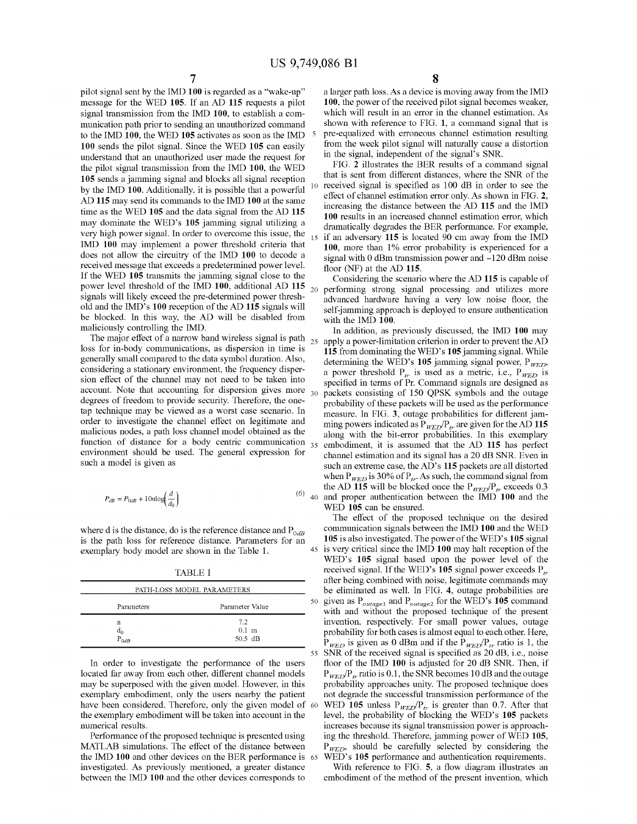pilot signal sent by the IMD 100 is regarded as a "wake-up" message for the WED 105. If an AD 115 requests a pilot signal transmission from the IMD 100, to establish a communication path prior to sending an unauthorized command to the IMD 100, the WED 105 activates as soon as the IMD 100 sends the pilot signal. Since the WED 105 can easily understand that an unauthorized user made the request for the pilot signal transmission from the IMD 100, the WED 105 sends a jamming signal and blocks all signal reception by the IMD 100. Additionally, it is possible that a powerful AD 115 may send its commands to the IMD 100 at the same time as the WED 105 and the data signal from the AD 115 may dominate the WED's 105 jamming signal utilizing a very high power signal. In order to overcome this issue, the IMD 100 may implement a power threshold criteria that does not allow the circuitry of the IMD 100 to decode a received message that exceeds a predetermined power level. If the WED <sup>105</sup> transmits the jamming signal close to the power level threshold of the IMD 100, additional AD 115 signals will likely exceed the pre-determined power threshold and the IMD's 100 reception of the AD 115 signals will be blocked. In this way, the AD will be disabled from maliciously controlling the IMD.

The major effect of a narrow band wireless signal is path loss for in-body communications, as dispersion in time is generally small compared to the data symbol duration. Also, considering a stationary environment, the frequency dispersion effect of the channel may not need to be taken into account. Note that accounting for dispersion gives more degrees of freedom to provide security. Therefore, the onetap technique may be viewed as a worst case scenario. In order to investigate the channel effect on legitimate and malicious nodes, a path loss channel model obtained as the function of distance for a body centric communication  $35$ environment should be used. The general expression for such a model is given as

$$
P_{dB} = P_{0dB} + 10n \log \left( \frac{d}{d_0} \right) \tag{6}
$$

where d is the distance, do is the reference distance and P<sub>OdB</sub> is the path loss for reference distance. Parameters for an exemplary body model are shown in the Table I.

TABLE I

| .                          |                 |  |
|----------------------------|-----------------|--|
| PATH-LOSS MODEL PARAMETERS |                 |  |
| Parameters                 | Parameter Value |  |
| n                          | 7.2             |  |
| $d_0$                      | $0.1$ m         |  |
| $P_{QdR}$                  | $50.5$ dB       |  |

In order to investigate the performance of the users located far away from each other, different channel models may be superposed with the given model. However, in this exemplary embodiment, only the users nearby the patient have been considered. Therefore, only the given model of 60 the exemplary embodiment will be taken into account in the numerical results.

Performance of the proposed technique is presented using MATLAB simulations. The effect of the distance between the IMD 100 and other devices on the BER performance is investigated. As previously mentioned, a greater distance between the IMD 100 and the other devices corresponds to

a larger path loss. As a device is moving away from the IMD 100, the power of the received pilot signal becomes weaker, which will result in an error in the channel estimation. As shown with reference to FIG. 1, a command signal that is pre-equalized with erroneous channel estimation resulting from the week pilot signal will naturally cause a distortion in the signal, independent of the signal's SNR.

FIG. 2 illustrates the BER results of a command signal that is sent from different distances, where the SNR of the received signal is specified as 100 dB in order to see the effect of channel estimation error only. As shown in FIG. 2, increasing the distance between the AD 115 and the IMD 100 results in an increased channel estimation error, which dramatically degrades the BER performance. For example, <sup>15</sup> if an adversary 115 is located 90 cm away from the IMD 100, more than 1% error probability is experienced for a signal with 0 dBm transmission power and -120 dBm noise floor (NF) at the AD 115.

Considering the scenario where the AD 115 is capable of 20 performing strong signal processing and utilizes more advanced hardware having a very low noise floor, the self-jamming approach is deployed to ensure authentication with the IMD 100.

In addition, as previously discussed, the IMD 100 may apply a power-limitation criterion in order to prevent the AD 115 from dominating the WED's 105 jamming signal. While determining the WED's 105 jamming signal power,  $P_{WED}$ , a power threshold  $P_{tr}$  is used as a metric, i.e.,  $P_{WED}$  is specified in terms of Pr. Command signals are designed as packets consisting of 150 QPSK symbols and the outage probability of these packets will be used as the performance measure. In FIG. 3, outage probabilities for different jamming powers indicated as  $P_{WED}/P_{tr}$  are given for the AD 115 along with the bit-error probabilities. In this exemplary embodiment, it is assumed that the AD 115 has perfect channel estimation and its signal has a 20 dB SNR. Even in such an extreme case, the AD's 115 packets are all distorted when  $P_{WED}$  is 30% of  $P_{tr}$ . As such, the command signal from the AD 115 will be blocked once the  $P_{WED}/P_{tr}$  exceeds 0.3  $(6)$  40 and proper authentication between the IMD 100 and the WED 105 can be ensured.

The effect of the proposed technique on the desired communication signals between the IMD 100 and the WED 105 is also investigated. The power of the WED's 105 signal 45 is very critical since the IMD 100 may halt reception of the WED's 105 signal based upon the power level of the received signal. If the WED's 105 signal power exceeds  $P_{tr}$ after being combined with noise, legitimate commands may be eliminated as well. In FIG. 4, outage probabilities are 50 given as *Poutagel* and *Poutage2* for the WED's 105 command with and without the proposed technique of the present invention, respectively. For small power values, outage probability for both cases is almost equal to each other. Here,  $P_{WED}$  is given as 0 dBm and if the  $P_{WED}/P_{tr}$  ratio is 1, the <sup>55</sup> SNR of the received signal is specified as 20 dB, i.e., noise floor of the IMD 100 is adjusted for 20 dB SNR. Then, if  $P_{WED}/P_{tr}$  ratio is 0.1, the SNR becomes 10 dB and the outage probability approaches unity. The proposed technique does not degrade the successful transmission performance of the WED 105 unless  $P_{WED}/P_{tr}$  is greater than 0.7. After that level, the probability of blocking the WED's 105 packets increases because its signal transmission power is approaching the threshold. Therefore, jamming power of WED 105, P<sub>WED</sub>, should be carefully selected by considering the 65 WED's 105 performance and authentication requirements.

With reference to FIG. 5, a flow diagram illustrates an embodiment of the method of the present invention, which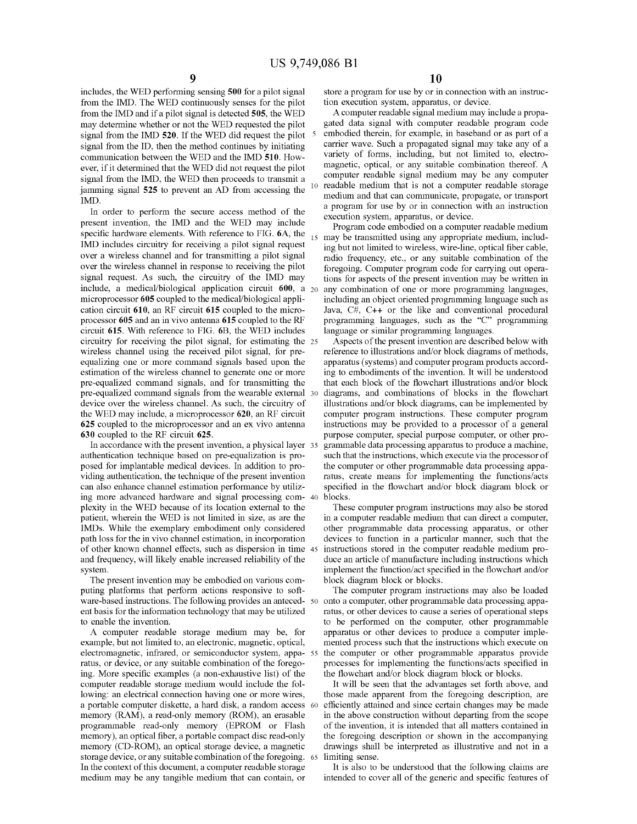includes, the WED performing sensing 500 for a pilot signal from the IMD. The WED continuously senses for the pilot from the IMD and if a pilot signal is detected 505, the WED may determine whether or not the WED requested the pilot signal from the IMD 520. If the WED did request the pilot signal from the ID, then the method continues by initiating communication between the WED and the IMD 510. However, if it determined that the WED did not request the pilot signal from the IMD, the WED then proceeds to transmit a jamming signal 525 to prevent an AD from accessing the IMD.

In order to perform the secure access method of the present invention, the IMD and the WED may include specific hardware elements. With reference to FIG. 6A, the IMD includes circuitry for receiving a pilot signal request over a wireless channel and for transmitting a pilot signal over the wireless channel in response to receiving the pilot signal request. As such, the circuitry of the IMD may include, a medical/biological application circuit  $600$ , a  $_{20}$ microprocessor 605 coupled to the medical/biological application circuit 610, an RF circuit 615 coupled to the microprocessor 605 and an in vivo antenna 615 coupled to the RF circuit 615. With reference to FIG. 6B, the WED includes circuitry for receiving the pilot signal, for estimating the 25 wireless channel using the received pilot signal, for preequalizing one or more command signals based upon the estimation of the wireless channel to generate one or more pre-equalized command signals, and for transmitting the pre-equalized command signals from the wearable external device over the wireless channel. As such, the circuitry of the WED may include, a microprocessor 620, an RF circuit 625 coupled to the microprocessor and an ex vivo antenna 630 coupled to the RF circuit 625.

In accordance with the present invention, a physical layer 35 authentication technique based on pre-equalization is proposed for implantable medical devices. In addition to providing authentication, the technique of the present invention can also enhance channel estimation performance by utilizing more advanced hardware and signal processing complexity in the WED because of its location external to the patient, wherein the WED is not limited in size, as are the IMDs. While the exemplary embodiment only considered path loss for the in vivo channel estimation, in incorporation of other known channel effects, such as dispersion in time and frequency, will likely enable increased reliability of the system.

The present invention may be embodied on various computing platforms that perform actions responsive to software-based instructions. The following provides an antecedent basis for the information technology that may be utilized to enable the invention.

A computer readable storage medium may be, for example, but not limited to, an electronic, magnetic, optical, electromagnetic, infrared, or semiconductor system, apparatus, or device, or any suitable combination of the foregoing. More specific examples (a non-exhaustive list) of the computer readable storage medium would include the following: an electrical connection having one or more wires, a portable computer diskette, a hard disk, a random access memory (RAM), a read-only memory (ROM), an erasable programmable read-only memory (EPROM or Flash memory), an optical fiber, a portable compact disc read-only memory (CD-ROM), an optical storage device, a magnetic storage device, or any suitable combination of the foregoing. In the context of this document, a computer readable storage medium may be any tangible medium that can contain, or

store a program for use by or in connection with an instruction execution system, apparatus, or device.

A computer readable signal medium may include a propagated data signal with computer readable program code embodied therein, for example, in baseband or as part of a carrier wave. Such a propagated signal may take any of a variety of fonns, including, but not limited to, electromagnetic, optical, or any suitable combination thereof. A computer readable signal medium may be any computer readable medium that is not a computer readable storage medium and that can communicate, propagate, or transport a program for use by or in connection with an instruction execution system, apparatus, or device.

Program code embodied on a computer readable medium may be transmitted using any appropriate medium, including but not limited to wireless, wire-line, optical fiber cable, radio frequency, etc., or any suitable combination of the foregoing. Computer program code for carrying out operations for aspects of the present invention may be written in any combination of one or more programming languages, including an object oriented programming language such as Java, C#, C++ or the like and conventional procedural programming languages, such as the "C" programming language or similar programming languages.

Aspects of the present invention are described below with reference to illustrations and/or block diagrams of methods, apparatus (systems) and computer program products according to embodiments of the invention. It will be understood that each block of the flowchart illustrations and/or block diagrams, and combinations of blocks in the flowchart illustrations and/or block diagrams, can be implemented by computer program instructions. These computer program instructions may be provided to a processor of a general purpose computer, special purpose computer, or other programmable data processing apparatus to produce a machine, such that the instructions, which execute via the processor of the computer or other programmable data processing apparatus, create means for implementing the functions/acts specified in the flowchart and/or block diagram block or blocks.

These computer program instructions may also be stored in a computer readable medium that can direct a computer, other programmable data processing apparatus, or other devices to function in a particular manner, such that the instructions stored in the computer readable medium produce an article of manufacture including instructions which implement the function/act specified in the flowchart and/or block diagram block or blocks.

The computer program instructions may also be loaded onto a computer, other programmable data processing apparatus, or other devices to cause a series of operational steps to be performed on the computer, other programmable apparatus or other devices to produce a computer implemented process such that the instructions which execute on the computer or other programmable apparatus provide processes for implementing the functions/acts specified in the flowchart and/or block diagram block or blocks.

It will be seen that the advantages set forth above, and those made apparent from the foregoing description, are efficiently attained and since certain changes may be made in the above construction without departing from the scope of the invention, it is intended that all matters contained in the foregoing description or shown in the accompanying drawings shall be interpreted as illustrative and not in a 65 limiting sense.

It is also to be understood that the following claims are intended to cover all of the generic and specific features of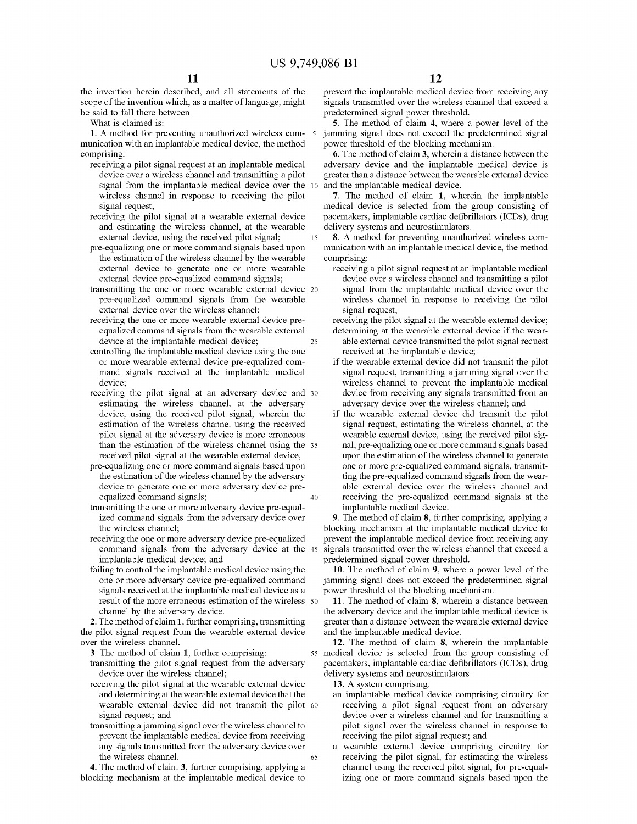15

40

the invention herein described, and all statements of the scope of the invention which, as a matter of language, might be said to fall there between

What is claimed is:

1. A method for preventing unauthorized wireless communication with an implantable medical device, the method comprising:

- receiving a pilot signal request at an implantable medical device over a wireless channel and transmitting a pilot signal from the implantable medical device over the 10 wireless channel in response to receiving the pilot signal request;
- receiving the pilot signal at a wearable external device and estimating the wireless channel, at the wearable external device, using the received pilot signal;
- pre-equalizing one or more command signals based upon the estimation of the wireless channel by the wearable external device to generate one or more wearable external device pre-equalized command signals;
- transmitting the one or more wearable external device 20 pre-equalized command signals from the wearable external device over the wireless channel;
- 25 receiving the one or more wearable external device preequalized command signals from the wearable external device at the implantable medical device;
- controlling the implantable medical device using the one or more wearable external device pre-equalized command signals received at the implantable medical device;
- receiving the pilot signal at an adversary device and 30 estimating the wireless channel, at the adversary device, using the received pilot signal, wherein the estimation of the wireless channel using the received pilot signal at the adversary device is more erroneous than the estimation of the wireless channel using the <sup>35</sup> received pilot signal at the wearable external device,
- pre-equalizing one or more command signals based upon the estimation of the wireless channel by the adversary device to generate one or more adversary device preequalized command signals;
- transmitting the one or more adversary device pre-equalized command signals from the adversary device over the wireless channel;
- receiving the one or more adversary device pre-equalized command signals from the adversary device at the 45 implantable medical device; and
- failing to control the implantable medical device using the one or more adversary device pre-equalized command signals received at the implantable medical device as a result of the more erroneous estimation of the wireless 50 channel by the adversary device.

2. The method of claim 1, further comprising, transmitting the pilot signal request from the wearable external device over the wireless channel.

3. The method of claim 1, further comprising:

- transmitting the pilot signal request from the adversary device over the wireless channel;
- receiving the pilot signal at the wearable external device and determining at the wearable external device that the wearable external device did not transmit the pilot 60 signal request; and
- 65 transmitting a jamming signal over the wireless channel to prevent the implantable medical device from receiving any signals transmitted from the adversary device over the wireless channel.

4. The method of claim 3, further comprising, applying a blocking mechanism at the implantable medical device to

prevent the implantable medical device from receiving any signals transmitted over the wireless channel that exceed a predetermined signal power threshold.

5. The method of claim 4, where a power level of the jamming signal does not exceed the predetermined signal power threshold of the blocking mechanism.

6. The method of claim 3, wherein a distance between the adversary device and the implantable medical device is greater than a distance between the wearable external device and the implantable medical device.

7. The method of claim 1, wherein the implantable medical device is selected from the group consisting of pacemakers, implantable cardiac defibrillators (ICDs), drug delivery systems and neurostimulators.

8. A method for preventing unauthorized wireless communication with an implantable medical device, the method comprising:

receiving a pilot signal request at an implantable medical device over a wireless channel and transmitting a pilot signal from the implantable medical device over the wireless channel in response to receiving the pilot signal request;

receiving the pilot signal at the wearable external device; determining at the wearable external device if the wear-

- able external device transmitted the pilot signal request received at the implantable device;
- if the wearable external device did not transmit the pilot signal request, transmitting a jamming signal over the wireless channel to prevent the implantable medical device from receiving any signals transmitted from an adversary device over the wireless channel; and
- if the wearable external device did transmit the pilot signal request, estimating the wireless channel, at the wearable external device, using the received pilot signal, pre-equalizing one or more command signals based upon the estimation of the wireless channel to generate one or more pre-equalized command signals, transmitting the pre-equalized command signals from the wearable external device over the wireless channel and receiving the pre-equalized command signals at the implantable medical device.

9. The method of claim 8, further comprising, applying a blocking mechanism at the implantable medical device to prevent the implantable medical device from receiving any signals transmitted over the wireless channel that exceed a predetermined signal power threshold.

10. The method of claim 9, where a power level of the jamming signal does not exceed the predetermined signal power threshold of the blocking mechanism.

11. The method of claim 8, wherein a distance between the adversary device and the implantable medical device is greater than a distance between the wearable external device and the implantable medical device.

12. The method of claim 8, wherein the implantable <sup>55</sup> medical device is selected from the group consisting of pacemakers, implantable cardiac defibrillators (ICDs), drug delivery systems and neurostimulators.

13. A system comprising:

- an implantable medical device comprising circuitry for receiving a pilot signal request from an adversary device over a wireless channel and for transmitting a pilot signal over the wireless channel in response to receiving the pilot signal request; and
- a wearable external device comprising circuitry for receiving the pilot signal, for estimating the wireless channel using the received pilot signal, for pre-equalizing one or more command signals based upon the